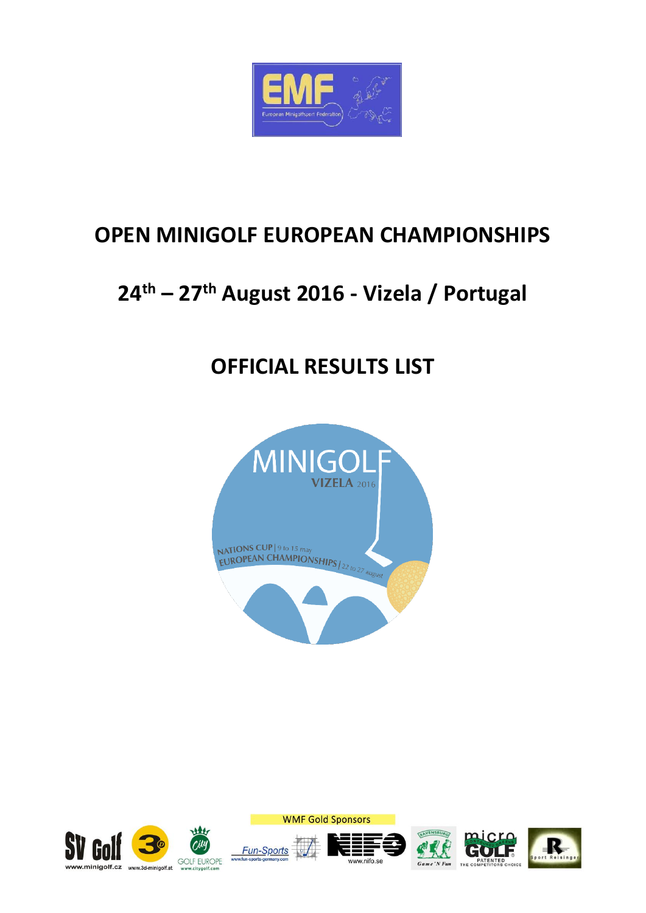

## **OPEN MINIGOLF EUROPEAN CHAMPIONSHIPS**

# **24th – 27th August 2016 - Vizela / Portugal**

## **OFFICIAL RESULTS LIST**



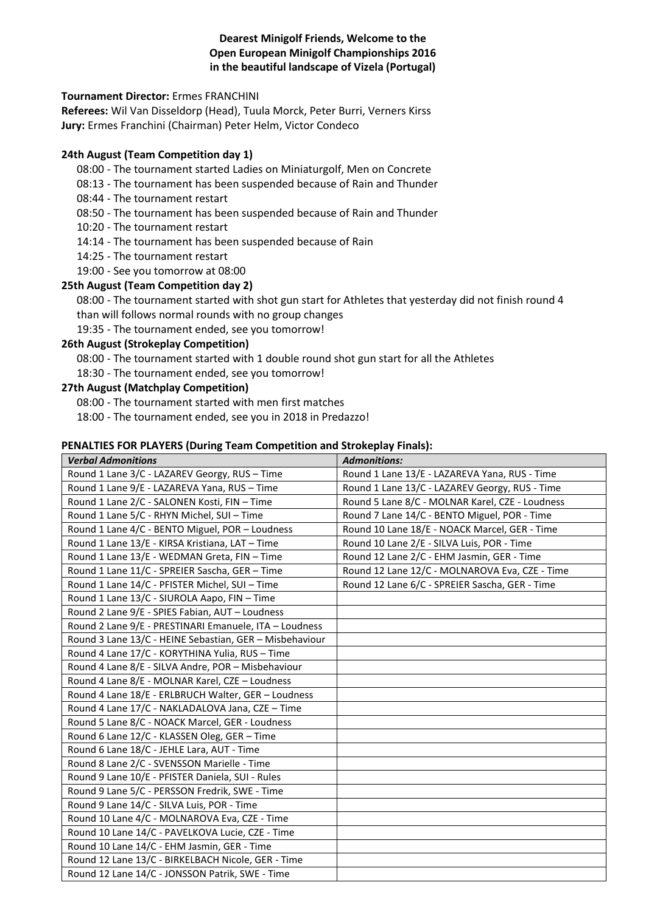#### **Dearest Minigolf Friends, Welcome to the Open European Minigolf Championships 2016 in the beautiful landscape of Vizela (Portugal)**

#### **Tournament Director:** Ermes FRANCHINI

**Referees:** Wil Van Disseldorp (Head), Tuula Morck, Peter Burri, Verners Kirss **Jury:** Ermes Franchini (Chairman) Peter Helm, Victor Condeco

#### **24th August (Team Competition day 1)**

- 08:00 The tournament started Ladies on Miniaturgolf, Men on Concrete
- 08:13 The tournament has been suspended because of Rain and Thunder
- 08:44 The tournament restart
- 08:50 The tournament has been suspended because of Rain and Thunder
- 10:20 The tournament restart
- 14:14 The tournament has been suspended because of Rain
- 14:25 The tournament restart
- 19:00 See you tomorrow at 08:00

#### **25th August (Team Competition day 2)**

08:00 - The tournament started with shot gun start for Athletes that yesterday did not finish round 4 than will follows normal rounds with no group changes

19:35 - The tournament ended, see you tomorrow!

#### **26th August (Strokeplay Competition)**

08:00 - The tournament started with 1 double round shot gun start for all the Athletes

18:30 - The tournament ended, see you tomorrow!

#### **27th August (Matchplay Competition)**

08:00 - The tournament started with men first matches

18:00 - The tournament ended, see you in 2018 in Predazzo!

#### **PENALTIES FOR PLAYERS (During Team Competition and Strokeplay Finals):**

| <b>Verbal Admonitions</b>                               | <b>Admonitions:</b>                             |
|---------------------------------------------------------|-------------------------------------------------|
| Round 1 Lane 3/C - LAZAREV Georgy, RUS - Time           | Round 1 Lane 13/E - LAZAREVA Yana, RUS - Time   |
| Round 1 Lane 9/E - LAZAREVA Yana, RUS - Time            | Round 1 Lane 13/C - LAZAREV Georgy, RUS - Time  |
| Round 1 Lane 2/C - SALONEN Kosti, FIN - Time            | Round 5 Lane 8/C - MOLNAR Karel, CZE - Loudness |
| Round 1 Lane 5/C - RHYN Michel, SUI - Time              | Round 7 Lane 14/C - BENTO Miguel, POR - Time    |
| Round 1 Lane 4/C - BENTO Miguel, POR - Loudness         | Round 10 Lane 18/E - NOACK Marcel, GER - Time   |
| Round 1 Lane 13/E - KIRSA Kristiana, LAT - Time         | Round 10 Lane 2/E - SILVA Luis, POR - Time      |
| Round 1 Lane 13/E - WEDMAN Greta, FIN - Time            | Round 12 Lane 2/C - EHM Jasmin, GER - Time      |
| Round 1 Lane 11/C - SPREIER Sascha, GER - Time          | Round 12 Lane 12/C - MOLNAROVA Eva, CZE - Time  |
| Round 1 Lane 14/C - PFISTER Michel, SUI - Time          | Round 12 Lane 6/C - SPREIER Sascha, GER - Time  |
| Round 1 Lane 13/C - SIUROLA Aapo, FIN - Time            |                                                 |
| Round 2 Lane 9/E - SPIES Fabian, AUT - Loudness         |                                                 |
| Round 2 Lane 9/E - PRESTINARI Emanuele, ITA - Loudness  |                                                 |
| Round 3 Lane 13/C - HEINE Sebastian, GER - Misbehaviour |                                                 |
| Round 4 Lane 17/C - KORYTHINA Yulia, RUS - Time         |                                                 |
| Round 4 Lane 8/E - SILVA Andre, POR - Misbehaviour      |                                                 |
| Round 4 Lane 8/E - MOLNAR Karel, CZE - Loudness         |                                                 |
| Round 4 Lane 18/E - ERLBRUCH Walter, GER - Loudness     |                                                 |
| Round 4 Lane 17/C - NAKLADALOVA Jana, CZE - Time        |                                                 |
| Round 5 Lane 8/C - NOACK Marcel, GER - Loudness         |                                                 |
| Round 6 Lane 12/C - KLASSEN Oleg, GER - Time            |                                                 |
| Round 6 Lane 18/C - JEHLE Lara, AUT - Time              |                                                 |
| Round 8 Lane 2/C - SVENSSON Marielle - Time             |                                                 |
| Round 9 Lane 10/E - PFISTER Daniela, SUI - Rules        |                                                 |
| Round 9 Lane 5/C - PERSSON Fredrik, SWE - Time          |                                                 |
| Round 9 Lane 14/C - SILVA Luis, POR - Time              |                                                 |
| Round 10 Lane 4/C - MOLNAROVA Eva, CZE - Time           |                                                 |
| Round 10 Lane 14/C - PAVELKOVA Lucie, CZE - Time        |                                                 |
| Round 10 Lane 14/C - EHM Jasmin, GER - Time             |                                                 |
| Round 12 Lane 13/C - BIRKELBACH Nicole, GER - Time      |                                                 |
| Round 12 Lane 14/C - JONSSON Patrik, SWE - Time         |                                                 |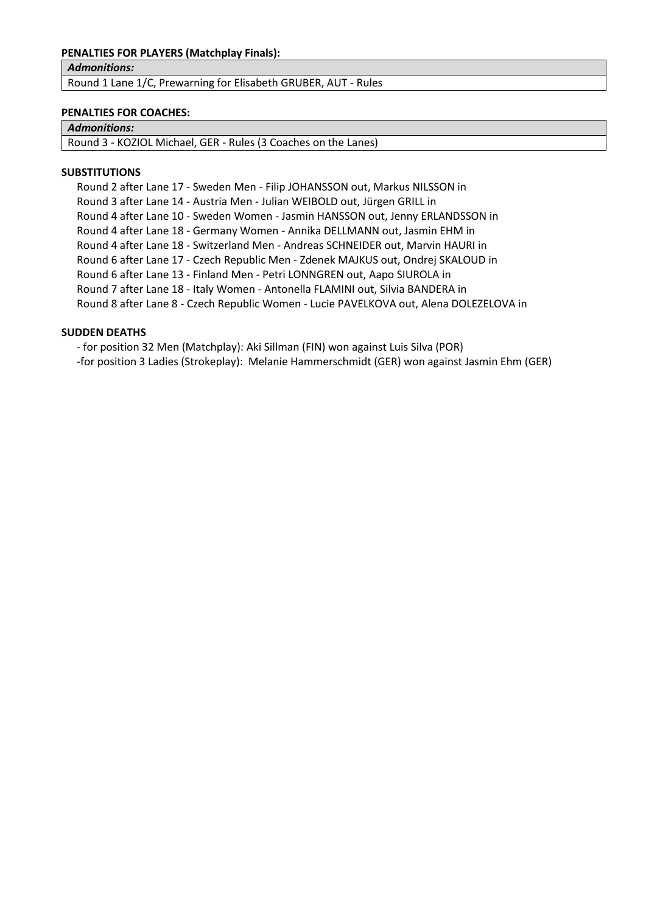#### **PENALTIES FOR PLAYERS (Matchplay Finals):**

*Admonitions:*

Round 1 Lane 1/C, Prewarning for Elisabeth GRUBER, AUT - Rules

#### **PENALTIES FOR COACHES:**

#### *Admonitions:*

Round 3 - KOZIOL Michael, GER - Rules (3 Coaches on the Lanes)

#### **SUBSTITUTIONS**

Round 2 after Lane 17 - Sweden Men - Filip JOHANSSON out, Markus NILSSON in Round 3 after Lane 14 - Austria Men - Julian WEIBOLD out, Jürgen GRILL in Round 4 after Lane 10 - Sweden Women - Jasmin HANSSON out, Jenny ERLANDSSON in Round 4 after Lane 18 - Germany Women - Annika DELLMANN out, Jasmin EHM in Round 4 after Lane 18 - Switzerland Men - Andreas SCHNEIDER out, Marvin HAURI in Round 6 after Lane 17 - Czech Republic Men - Zdenek MAJKUS out, Ondrej SKALOUD in Round 6 after Lane 13 - Finland Men - Petri LONNGREN out, Aapo SIUROLA in Round 7 after Lane 18 - Italy Women - Antonella FLAMINI out, Silvia BANDERA in Round 8 after Lane 8 - Czech Republic Women - Lucie PAVELKOVA out, Alena DOLEZELOVA in

#### **SUDDEN DEATHS**

- for position 32 Men (Matchplay): Aki Sillman (FIN) won against Luis Silva (POR)

-for position 3 Ladies (Strokeplay): Melanie Hammerschmidt (GER) won against Jasmin Ehm (GER)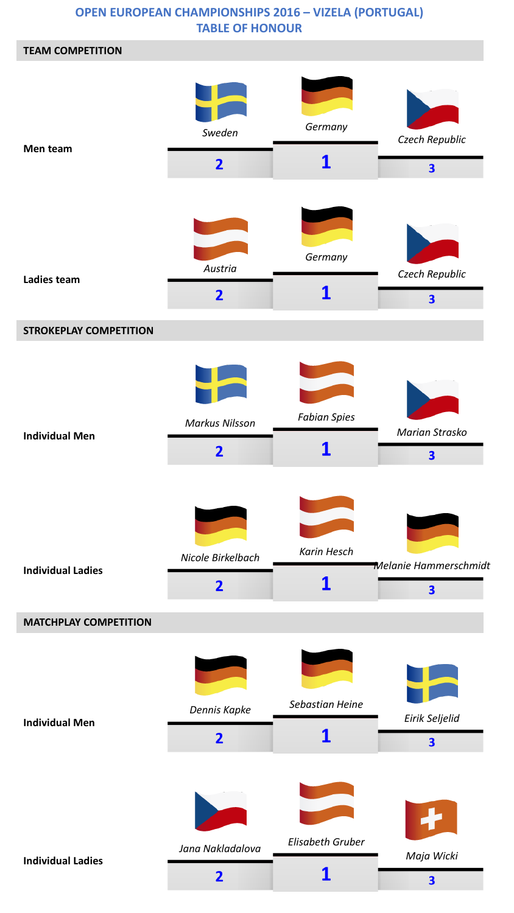### **OPEN EUROPEAN CHAMPIONSHIPS 2016 – VIZELA (PORTUGAL) TABLE OF HONOUR**

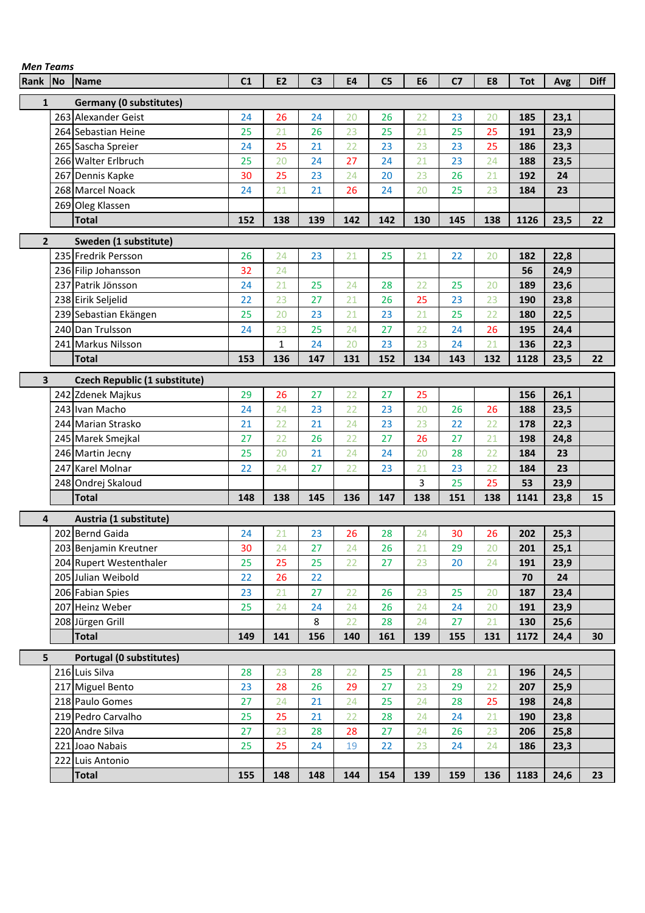| Men Teams    |                                |     |                |                |           |                |                |                |     |            |      |             |
|--------------|--------------------------------|-----|----------------|----------------|-----------|----------------|----------------|----------------|-----|------------|------|-------------|
| Rank No      | Name                           | C1  | E <sub>2</sub> | C <sub>3</sub> | <b>E4</b> | C <sub>5</sub> | E <sub>6</sub> | C <sub>7</sub> | E8  | <b>Tot</b> | Avg  | <b>Diff</b> |
| $\mathbf{1}$ | <b>Germany (0 substitutes)</b> |     |                |                |           |                |                |                |     |            |      |             |
|              | 263 Alexander Geist            | 24  | 26             | 24             | 20        | 26             | 22             | 23             | 20  | 185        | 23,1 |             |
|              | 264 Sebastian Heine            | 25  | 21             | 26             | 23        | 25             | 21             | 25             | 25  | 191        | 23,9 |             |
|              | 265 Sascha Spreier             | 24  | 25             | 21             | 22        | 23             | 23             | 23             | 25  | 186        | 23,3 |             |
|              | 266 Walter Erlbruch            | 25  | 20             | 24             | 27        | 24             | 21             | 23             | 24  | 188        | 23,5 |             |
|              | 267 Dennis Kapke               | 30  | 25             | 23             | 24        | 20             | 23             | 26             | 21  | 192        | 24   |             |
|              | 268 Marcel Noack               | 24  | 21             | 21             | 26        | 24             | 20             | 25             | 23  | 184        | 23   |             |
|              | 269 Oleg Klassen               |     |                |                |           |                |                |                |     |            |      |             |
|              | <b>Total</b>                   | 152 | 138            | 139            | 142       | 142            | 130            | 145            | 138 | 1126       | 23,5 | 22          |
|              |                                |     |                |                |           |                |                |                |     |            |      |             |
| $\mathbf{2}$ | Sweden (1 substitute)          |     |                |                |           |                |                |                |     |            |      |             |
|              | 235 Fredrik Persson            | 26  | 24             | 23             | 21        | 25             | 21             | 22             | 20  | 182        | 22,8 |             |
|              | 236 Filip Johansson            | 32  | 24             |                |           |                |                |                |     | 56         | 24,9 |             |
|              | 237 Patrik Jönsson             | 24  | 21             | 25             | 24        | 28             | 22             | 25             | 20  | 189        | 23,6 |             |
|              | 238 Eirik Seljelid             | 22  | 23             | 27             | 21        | 26             | 25             | 23             | 23  | 190        | 23,8 |             |
|              | 239 Sebastian Ekängen          | 25  | 20             | 23             | 21        | 23             | 21             | 25             | 22  | 180        | 22,5 |             |
|              | 240 Dan Trulsson               | 24  | 23             | 25             | 24        | 27             | 22             | 24             | 26  | 195        | 24,4 |             |
|              | 241 Markus Nilsson             |     | $\mathbf{1}$   | 24             | 20        | 23             | 23             | 24             | 21  | 136        | 22,3 |             |
|              | <b>Total</b>                   | 153 | 136            | 147            | 131       | 152            | 134            | 143            | 132 | 1128       | 23,5 | 22          |
| 3            | Czech Republic (1 substitute)  |     |                |                |           |                |                |                |     |            |      |             |
|              | 242 Zdenek Majkus              | 29  | 26             | 27             | 22        | 27             | 25             |                |     | 156        | 26,1 |             |
|              | 243 Ivan Macho                 | 24  | 24             | 23             | 22        | 23             | 20             | 26             | 26  | 188        | 23,5 |             |
|              | 244 Marian Strasko             | 21  | 22             | 21             | 24        | 23             | 23             | 22             | 22  | 178        | 22,3 |             |
|              | 245 Marek Smejkal              | 27  | 22             | 26             | 22        | 27             | 26             | 27             | 21  | 198        | 24,8 |             |
|              | 246 Martin Jecny               | 25  | 20             | 21             | 24        | 24             | 20             | 28             | 22  | 184        | 23   |             |
|              | 247 Karel Molnar               | 22  | 24             | 27             | 22        | 23             | 21             | 23             | 22  | 184        | 23   |             |
|              | 248 Ondrej Skaloud             |     |                |                |           |                | 3              | 25             | 25  | 53         | 23,9 |             |
|              | <b>Total</b>                   | 148 | 138            | 145            | 136       | 147            | 138            | 151            | 138 | 1141       | 23,8 | 15          |
| 4            | Austria (1 substitute)         |     |                |                |           |                |                |                |     |            |      |             |
|              | 202 Bernd Gaida                | 24  | 21             | 23             | 26        | 28             | 24             | 30             | 26  | 202        | 25,3 |             |
|              | 203 Benjamin Kreutner          | 30  | 24             | 27             | 24        | 26             | 21             | 29             | 20  | 201        | 25,1 |             |
|              | 204 Rupert Westenthaler        | 25  | 25             | 25             | 22        | 27             | 23             | 20             | 24  | 191        | 23,9 |             |
|              | 205 Julian Weibold             | 22  | 26             | 22             |           |                |                |                |     | 70         | 24   |             |
|              | 206 Fabian Spies               | 23  | 21             | 27             | 22        | 26             | 23             | 25             | 20  | 187        | 23,4 |             |
|              | 207 Heinz Weber                | 25  | 24             | 24             | 24        | 26             | 24             | 24             | 20  | 191        | 23,9 |             |
|              | 208 Jürgen Grill               |     |                | 8              | 22        | 28             | 24             | 27             | 21  | 130        | 25,6 |             |
|              | <b>Total</b>                   | 149 | 141            | 156            | 140       | 161            | 139            | 155            | 131 | 1172       | 24,4 | 30          |
|              |                                |     |                |                |           |                |                |                |     |            |      |             |
| 5            | Portugal (0 substitutes)       |     |                |                |           |                |                |                |     |            |      |             |
|              | 216 Luis Silva                 | 28  | 23             | 28             | 22        | 25             | 21             | 28             | 21  | 196        | 24,5 |             |
|              | 217 Miguel Bento               | 23  | 28             | 26             | 29        | 27             | 23             | 29             | 22  | 207        | 25,9 |             |
|              | 218 Paulo Gomes                | 27  | 24             | 21             | 24        | 25             | 24             | 28             | 25  | 198        | 24,8 |             |
|              | 219 Pedro Carvalho             | 25  | 25             | 21             | 22        | 28             | 24             | 24             | 21  | 190        | 23,8 |             |
|              | 220 Andre Silva                | 27  | 23             | 28             | 28        | 27             | 24             | 26             | 23  | 206        | 25,8 |             |
|              | 221 Joao Nabais                | 25  | 25             | 24             | 19        | 22             | 23             | 24             | 24  | 186        | 23,3 |             |
|              | 222 Luis Antonio               |     |                |                |           |                |                |                |     |            |      |             |
|              | <b>Total</b>                   | 155 | 148            | 148            | 144       | 154            | 139            | 159            | 136 | 1183       | 24,6 | 23          |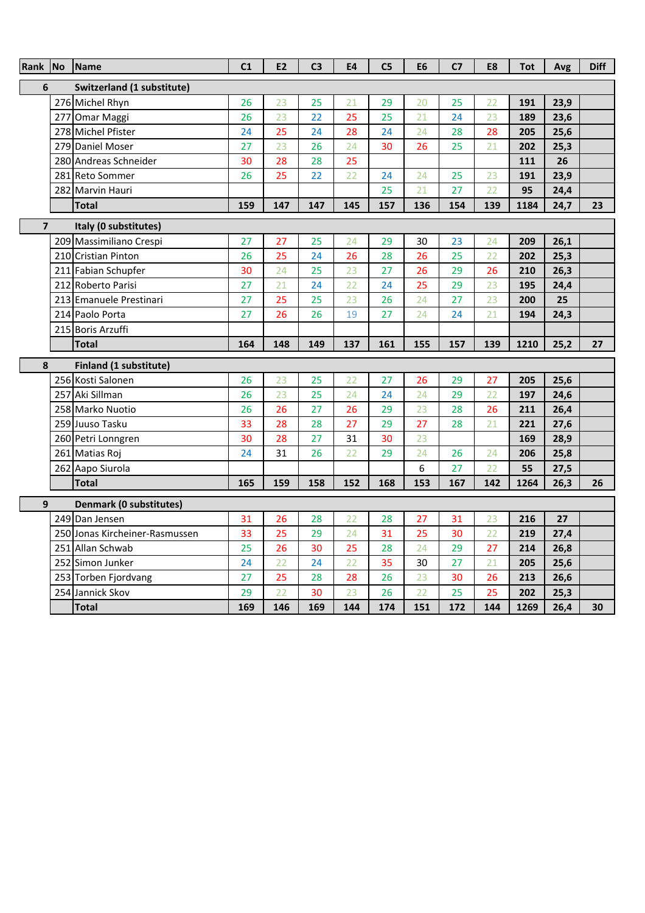| Rank                    | No  | <b>Name</b>                    | C <sub>1</sub> | <b>E2</b> | C <sub>3</sub> | E4  | C <sub>5</sub> | E <sub>6</sub>  | C <sub>7</sub> | E8  | <b>Tot</b> | Avg  | <b>Diff</b> |
|-------------------------|-----|--------------------------------|----------------|-----------|----------------|-----|----------------|-----------------|----------------|-----|------------|------|-------------|
| 6                       |     | Switzerland (1 substitute)     |                |           |                |     |                |                 |                |     |            |      |             |
|                         |     | 276 Michel Rhyn                | 26             | 23        | 25             | 21  | 29             | 20              | 25             | 22  | 191        | 23,9 |             |
|                         |     | 277 Omar Maggi                 | 26             | 23        | 22             | 25  | 25             | $\overline{21}$ | 24             | 23  | 189        | 23,6 |             |
|                         |     | 278 Michel Pfister             | 24             | 25        | 24             | 28  | 24             | 24              | 28             | 28  | 205        | 25,6 |             |
|                         |     | 279 Daniel Moser               | 27             | 23        | 26             | 24  | 30             | 26              | 25             | 21  | 202        | 25,3 |             |
|                         |     | 280 Andreas Schneider          | 30             | 28        | 28             | 25  |                |                 |                |     | 111        | 26   |             |
|                         |     | 281 Reto Sommer                | 26             | 25        | 22             | 22  | 24             | 24              | 25             | 23  | 191        | 23,9 |             |
|                         |     | 282 Marvin Hauri               |                |           |                |     | 25             | 21              | 27             | 22  | 95         | 24,4 |             |
|                         |     | <b>Total</b>                   | 159            | 147       | 147            | 145 | 157            | 136             | 154            | 139 | 1184       | 24,7 | 23          |
| $\overline{\mathbf{z}}$ |     | Italy (0 substitutes)          |                |           |                |     |                |                 |                |     |            |      |             |
|                         |     | 209 Massimiliano Crespi        | 27             | 27        | 25             | 24  | 29             | 30              | 23             | 24  | 209        | 26,1 |             |
|                         |     | 210 Cristian Pinton            | 26             | 25        | 24             | 26  | 28             | 26              | 25             | 22  | 202        | 25,3 |             |
|                         |     | 211 Fabian Schupfer            | 30             | 24        | 25             | 23  | 27             | 26              | 29             | 26  | 210        | 26,3 |             |
|                         |     | 212 Roberto Parisi             | 27             | 21        | 24             | 22  | 24             | 25              | 29             | 23  | 195        | 24,4 |             |
|                         |     | 213 Emanuele Prestinari        | 27             | 25        | 25             | 23  | 26             | 24              | 27             | 23  | 200        | 25   |             |
|                         | 214 | Paolo Porta                    | 27             | 26        | 26             | 19  | 27             | 24              | 24             | 21  | 194        | 24,3 |             |
|                         |     | 215 Boris Arzuffi              |                |           |                |     |                |                 |                |     |            |      |             |
|                         |     | <b>Total</b>                   | 164            | 148       | 149            | 137 | 161            | 155             | 157            | 139 | 1210       | 25,2 | 27          |
| 8                       |     | <b>Finland (1 substitute)</b>  |                |           |                |     |                |                 |                |     |            |      |             |
|                         |     | 256 Kosti Salonen              | 26             | 23        | 25             | 22  | 27             | 26              | 29             | 27  | 205        | 25,6 |             |
|                         |     | 257 Aki Sillman                | 26             | 23        | 25             | 24  | 24             | 24              | 29             | 22  | 197        | 24,6 |             |
|                         |     | 258 Marko Nuotio               | 26             | 26        | 27             | 26  | 29             | 23              | 28             | 26  | 211        | 26,4 |             |
|                         |     | 259 Juuso Tasku                | 33             | 28        | 28             | 27  | 29             | 27              | 28             | 21  | 221        | 27,6 |             |
|                         |     | 260 Petri Lonngren             | 30             | 28        | 27             | 31  | 30             | 23              |                |     | 169        | 28,9 |             |
|                         |     | 261 Matias Roj                 | 24             | 31        | 26             | 22  | 29             | 24              | 26             | 24  | 206        | 25,8 |             |
|                         |     | 262 Aapo Siurola               |                |           |                |     |                | 6               | 27             | 22  | 55         | 27,5 |             |
|                         |     | <b>Total</b>                   | 165            | 159       | 158            | 152 | 168            | 153             | 167            | 142 | 1264       | 26,3 | 26          |
| 9                       |     | <b>Denmark (0 substitutes)</b> |                |           |                |     |                |                 |                |     |            |      |             |
|                         |     | 249 Dan Jensen                 | 31             | 26        | 28             | 22  | 28             | 27              | 31             | 23  | 216        | 27   |             |
|                         |     | 250 Jonas Kircheiner-Rasmussen | 33             | 25        | 29             | 24  | 31             | 25              | 30             | 22  | 219        | 27,4 |             |
|                         |     | 251 Allan Schwab               | 25             | 26        | 30             | 25  | 28             | 24              | 29             | 27  | 214        | 26,8 |             |
|                         |     | 252 Simon Junker               | 24             | 22        | 24             | 22  | 35             | 30              | 27             | 21  | 205        | 25,6 |             |
|                         |     | 253 Torben Fjordvang           | 27             | 25        | 28             | 28  | 26             | 23              | 30             | 26  | 213        | 26,6 |             |
|                         |     | 254 Jannick Skov               | 29             | 22        | 30             | 23  | 26             | 22              | 25             | 25  | 202        | 25,3 |             |
|                         |     |                                |                |           |                |     |                |                 |                |     |            |      |             |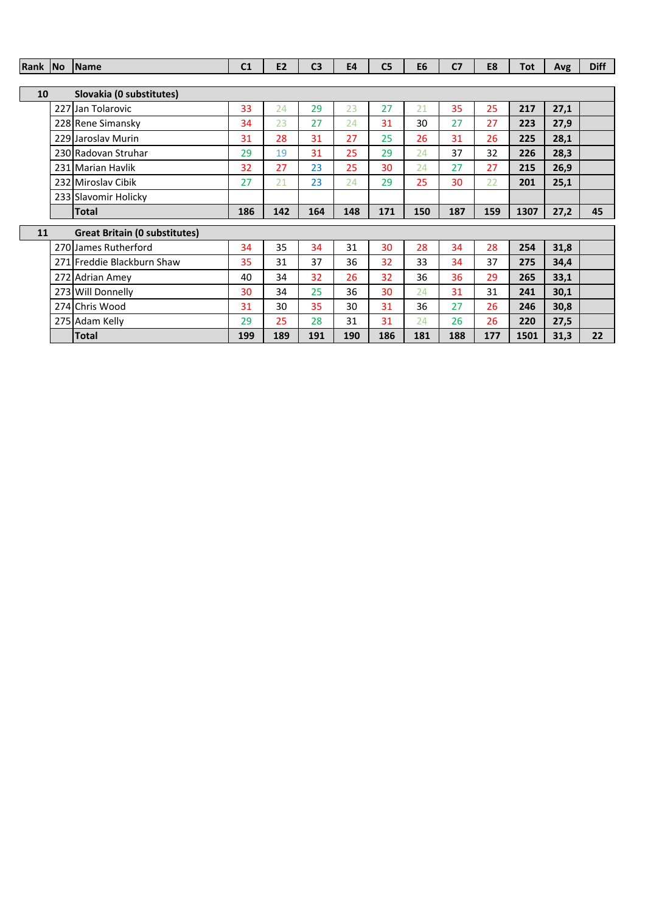| Rank No |     | <b>Name</b>                          | C <sub>1</sub> | <b>E2</b> | C <sub>3</sub> | <b>E4</b> | C <sub>5</sub> | E <sub>6</sub> | C <sub>7</sub> | E8  | <b>Tot</b> | Avg  | <b>Diff</b> |
|---------|-----|--------------------------------------|----------------|-----------|----------------|-----------|----------------|----------------|----------------|-----|------------|------|-------------|
|         |     |                                      |                |           |                |           |                |                |                |     |            |      |             |
| 10      |     | Slovakia (0 substitutes)             |                |           |                |           |                |                |                |     |            |      |             |
|         | 227 | Jan Tolarovic                        | 33             | 24        | 29             | 23        | 27             | 21             | 35             | 25  | 217        | 27,1 |             |
|         |     | 228 Rene Simansky                    | 34             | 23        | 27             | 24        | 31             | 30             | 27             | 27  | 223        | 27,9 |             |
|         |     | 229 Jaroslav Murin                   | 31             | 28        | 31             | 27        | 25             | 26             | 31             | 26  | 225        | 28,1 |             |
|         |     | 230 Radovan Struhar                  | 29             | 19        | 31             | 25        | 29             | 24             | 37             | 32  | 226        | 28,3 |             |
|         |     | 231 Marian Havlik                    | 32             | 27        | 23             | 25        | 30             | 24             | 27             | 27  | 215        | 26,9 |             |
|         |     | 232 Miroslav Cibik                   | 27             | 21        | 23             | 24        | 29             | 25             | 30             | 22  | 201        | 25,1 |             |
|         |     | 233 Slavomir Holicky                 |                |           |                |           |                |                |                |     |            |      |             |
|         |     | <b>Total</b>                         | 186            | 142       | 164            | 148       | 171            | 150            | 187            | 159 | 1307       | 27,2 | 45          |
| 11      |     | <b>Great Britain (0 substitutes)</b> |                |           |                |           |                |                |                |     |            |      |             |
|         |     | 270 James Rutherford                 | 34             | 35        | 34             | 31        | 30             | 28             | 34             | 28  | 254        | 31,8 |             |
|         |     | 271 Freddie Blackburn Shaw           | 35             | 31        | 37             | 36        | 32             | 33             | 34             | 37  | 275        | 34,4 |             |
|         | 272 | <b>Adrian Amey</b>                   | 40             | 34        | 32             | 26        | 32             | 36             | 36             | 29  | 265        | 33,1 |             |
|         |     | 273 Will Donnelly                    | 30             | 34        | 25             | 36        | 30             | 24             | 31             | 31  | 241        | 30,1 |             |
|         |     | 274 Chris Wood                       | 31             | 30        | 35             | 30        | 31             | 36             | 27             | 26  | 246        | 30,8 |             |
|         |     | 275 Adam Kelly                       | 29             | 25        | 28             | 31        | 31             | 24             | 26             | 26  | 220        | 27,5 |             |
|         |     | <b>Total</b>                         | 199            | 189       | 191            | 190       | 186            | 181            | 188            | 177 | 1501       | 31,3 | 22          |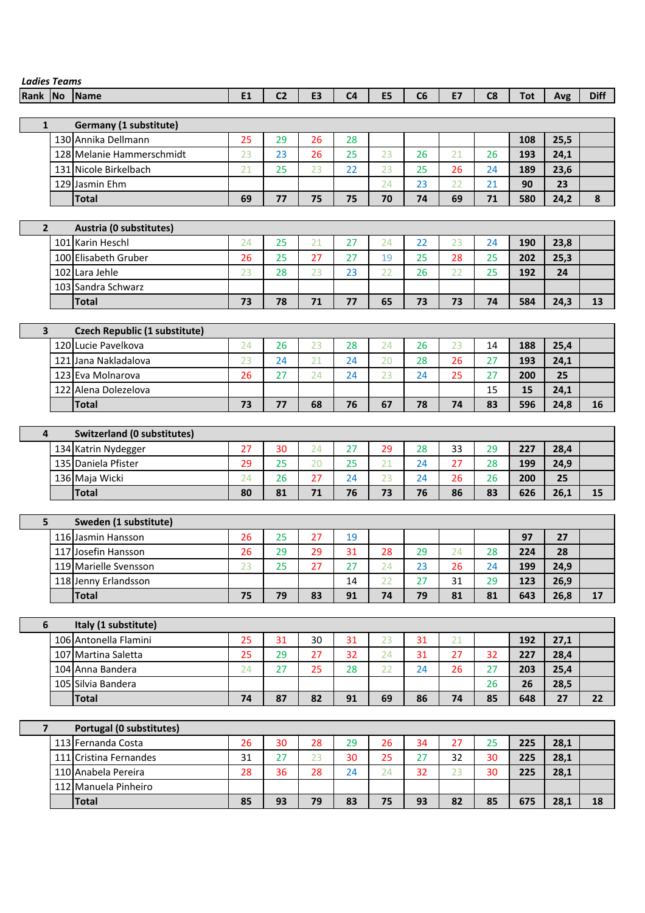| <b>Ladies Teams</b> |                                    |           |                |    |                |    |    |           |    |            |      |             |
|---------------------|------------------------------------|-----------|----------------|----|----------------|----|----|-----------|----|------------|------|-------------|
| Rank No             | <b>Name</b>                        | <b>E1</b> | C <sub>2</sub> | E3 | C <sub>4</sub> | E5 | C6 | <b>E7</b> | C8 | <b>Tot</b> | Avg  | <b>Diff</b> |
|                     |                                    |           |                |    |                |    |    |           |    |            |      |             |
| $\mathbf{1}$        | Germany (1 substitute)             |           |                |    |                |    |    |           |    |            |      |             |
|                     | 130 Annika Dellmann                | 25        | 29             | 26 | 28             |    |    |           |    | 108        | 25,5 |             |
|                     | 128 Melanie Hammerschmidt          | 23        | 23             | 26 | 25             | 23 | 26 | 21        | 26 | 193        | 24,1 |             |
|                     | 131 Nicole Birkelbach              | 21        | 25             | 23 | 22             | 23 | 25 | 26        | 24 | 189        | 23,6 |             |
|                     | 129 Jasmin Ehm                     |           |                |    |                | 24 | 23 | 22        | 21 | 90         | 23   |             |
|                     | <b>Total</b>                       | 69        | 77             | 75 | 75             | 70 | 74 | 69        | 71 | 580        | 24,2 | 8           |
|                     |                                    |           |                |    |                |    |    |           |    |            |      |             |
| $\overline{2}$      | Austria (0 substitutes)            |           |                |    |                |    |    |           |    |            |      |             |
|                     | 101 Karin Heschl                   | 24        | 25             | 21 | 27             | 24 | 22 | 23        | 24 | 190        | 23,8 |             |
|                     | 100 Elisabeth Gruber               | 26        | 25             | 27 | 27             | 19 | 25 | 28        | 25 | 202        | 25,3 |             |
|                     | 102 Lara Jehle                     | 23        | 28             | 23 | 23             | 22 | 26 | 22        | 25 | 192        | 24   |             |
|                     | 103 Sandra Schwarz                 |           |                |    |                |    |    |           |    |            |      |             |
|                     | <b>Total</b>                       | 73        | 78             | 71 | 77             | 65 | 73 | 73        | 74 | 584        | 24,3 | 13          |
|                     |                                    |           |                |    |                |    |    |           |    |            |      |             |
| 3                   | Czech Republic (1 substitute)      |           |                |    |                |    |    |           |    |            |      |             |
|                     | 120 Lucie Pavelkova                | 24        | 26             | 23 | 28             | 24 | 26 | 23        | 14 | 188        | 25,4 |             |
|                     | 121 Jana Nakladalova               | 23        | 24             | 21 | 24             | 20 | 28 | 26        | 27 | 193        | 24,1 |             |
|                     | 123 Eva Molnarova                  | 26        | 27             | 24 | 24             | 23 | 24 | 25        | 27 | 200        | 25   |             |
|                     | 122 Alena Dolezelova               |           |                |    |                |    |    |           | 15 | 15         | 24,1 |             |
|                     | <b>Total</b>                       | 73        | 77             | 68 | 76             | 67 | 78 | 74        | 83 | 596        | 24,8 | 16          |
|                     |                                    |           |                |    |                |    |    |           |    |            |      |             |
| 4                   | <b>Switzerland (0 substitutes)</b> |           |                |    |                |    |    |           |    |            |      |             |
|                     | 134 Katrin Nydegger                | 27        | 30             | 24 | 27             | 29 | 28 | 33        | 29 | 227        | 28,4 |             |
|                     | 135 Daniela Pfister                | 29        | 25             | 20 | 25             | 21 | 24 | 27        | 28 | 199        | 24,9 |             |
|                     | 136 Maja Wicki                     | 24        | 26             | 27 | 24             | 23 | 24 | 26        | 26 | 200        | 25   |             |
|                     | <b>Total</b>                       | 80        | 81             | 71 | 76             | 73 | 76 | 86        | 83 | 626        | 26,1 | 15          |
|                     |                                    |           |                |    |                |    |    |           |    |            |      |             |
| 5                   | Sweden (1 substitute)              |           |                |    |                |    |    |           |    |            |      |             |
|                     | 116 Jasmin Hansson                 | 26        | 25             | 27 | 19             |    |    |           |    | 97         | 27   |             |
|                     | 117 Josefin Hansson                | 26        | 29             | 29 | 31             | 28 | 29 | 24        | 28 | 224        | 28   |             |
|                     | 119 Marielle Svensson              | 23        | 25             | 27 | 27             | 24 | 23 | 26        | 24 | 199        | 24,9 |             |
|                     | 118 Jenny Erlandsson               |           |                |    | 14             | 22 | 27 | 31        | 29 | 123        | 26,9 |             |
|                     | <b>Total</b>                       | 75        | 79             | 83 | 91             | 74 | 79 | 81        | 81 | 643        | 26,8 | 17          |
|                     |                                    |           |                |    |                |    |    |           |    |            |      |             |
| 6                   | Italy (1 substitute)               |           |                |    |                |    |    |           |    |            |      |             |
|                     | 106 Antonella Flamini              | 25        | 31             | 30 | 31             | 23 | 31 | 21        |    | 192        | 27,1 |             |
|                     | 107 Martina Saletta                | 25        | 29             | 27 | 32             | 24 | 31 | 27        | 32 | 227        | 28,4 |             |
|                     | 104 Anna Bandera                   | 24        | 27             | 25 | 28             | 22 | 24 | 26        | 27 | 203        | 25,4 |             |
|                     | 105 Silvia Bandera                 |           |                |    |                |    |    |           | 26 | 26         | 28,5 |             |
|                     | <b>Total</b>                       | 74        | 87             | 82 | 91             | 69 | 86 | 74        | 85 | 648        | 27   | 22          |
|                     |                                    |           |                |    |                |    |    |           |    |            |      |             |
| $\overline{7}$      | Portugal (0 substitutes)           |           |                |    |                |    |    |           |    |            |      |             |
|                     | 113 Fernanda Costa                 | 26        | 30             | 28 | 29             | 26 | 34 | 27        | 25 | 225        | 28,1 |             |
|                     | 111 Cristina Fernandes             | 31        | 27             | 23 | 30             | 25 | 27 | 32        | 30 | 225        | 28,1 |             |
|                     | 110 Anabela Pereira                | 28        | 36             | 28 | 24             | 24 | 32 | 23        | 30 | 225        | 28,1 |             |
|                     | 112 Manuela Pinheiro               |           |                |    |                |    |    |           |    |            |      |             |
|                     | <b>Total</b>                       | 85        | 93             | 79 | 83             | 75 | 93 | 82        | 85 | 675        | 28,1 | 18          |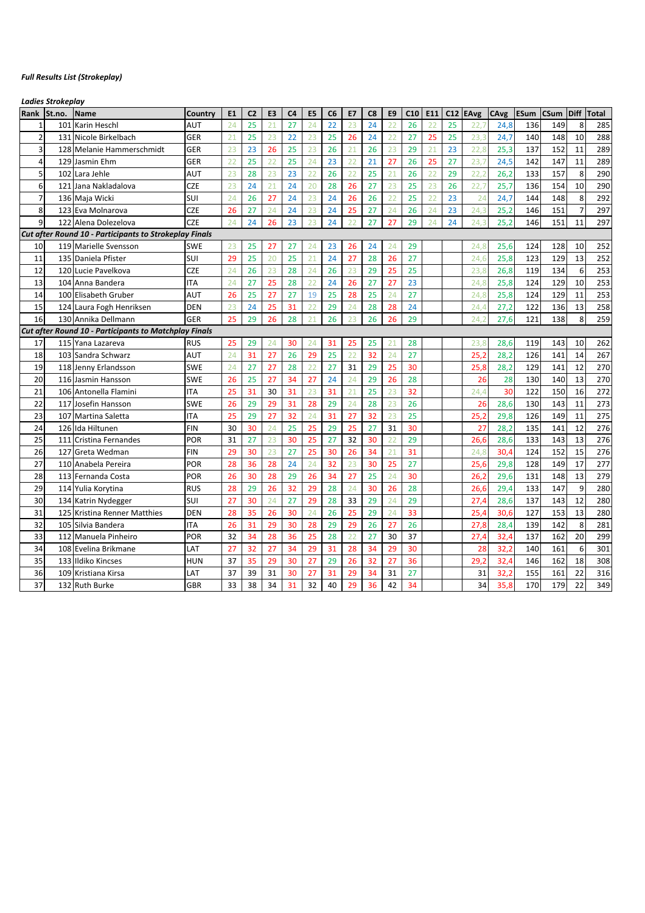#### *Full Results List (Strokeplay)*

*Ladies Strokeplay*

| Rank           | St.no. | Name                                                          | Country    | E <sub>1</sub> | C <sub>2</sub> | E <sub>3</sub> | C <sub>4</sub> | E5              | C <sub>6</sub> | E7              | C8 | E <sub>9</sub>  | C10 | E11 | C12 | <b>EAvg</b> | CAvg | ESum | CSum | Diff           | <b>Total</b> |
|----------------|--------|---------------------------------------------------------------|------------|----------------|----------------|----------------|----------------|-----------------|----------------|-----------------|----|-----------------|-----|-----|-----|-------------|------|------|------|----------------|--------------|
| $\mathbf{1}$   | 101    | Karin Heschl                                                  | AUT        | 24             | 25             | 21             | 27             | 24              | 22             | 23              | 24 | 22              | 26  | 22  | 25  | 22.7        | 24,8 | 136  | 149  | 8              | 285          |
| $\overline{2}$ |        | 131 Nicole Birkelbach                                         | GER        | 21             | 25             | 23             | 22             | 23              | 25             | 26              | 24 | 22              | 27  | 25  | 25  | 23,3        | 24,7 | 140  | 148  | 10             | 288          |
| $\overline{3}$ | 128    | Melanie Hammerschmidt                                         | GER        | 23             | 23             | 26             | 25             | 23              | 26             | $\overline{21}$ | 26 | 23              | 29  | 21  | 23  | 22,8        | 25,3 | 137  | 152  | 11             | 289          |
| $\overline{4}$ | 129    | Jasmin Ehm                                                    | GER        | 22             | 25             | 22             | 25             | 24              | 23             | 22              | 21 | 27              | 26  | 25  | 27  | 23,7        | 24,5 | 142  | 147  | 11             | 289          |
| 5              | 102    | Lara Jehle                                                    | AUT        | 23             | 28             | 23             | 23             | 22              | 26             | 22              | 25 | $\overline{21}$ | 26  | 22  | 29  | 22.2        | 26,2 | 133  | 157  | 8              | 290          |
| 6              | 121    | Jana Nakladalova                                              | <b>CZE</b> | 23             | 24             | 21             | 24             | 20              | 28             | 26              | 27 | 23              | 25  | 23  | 26  | 22,7        | 25,7 | 136  | 154  | 10             | 290          |
| $\overline{7}$ |        | 136 Maja Wicki                                                | SUI        | 24             | 26             | 27             | 24             | 23              | 24             | 26              | 26 | 22              | 25  | 22  | 23  | 24          | 24,7 | 144  | 148  | 8              | 292          |
| 8              |        | 123 Eva Molnarova                                             | <b>CZE</b> | 26             | 27             | 24             | 24             | 23              | 24             | 25              | 27 | 24              | 26  | 24  | 23  | 24,3        | 25,2 | 146  | 151  | $\overline{7}$ | 297          |
| 9              |        | 122 Alena Dolezelova                                          | <b>CZE</b> | 24             | 24             | 26             | 23             | 23              | 24             | 22              | 27 | 27              | 29  | 24  | 24  | 24.3        | 25,2 | 146  | 151  | 11             | 297          |
|                |        | <b>Cut after Round 10 - Participants to Strokeplay Finals</b> |            |                |                |                |                |                 |                |                 |    |                 |     |     |     |             |      |      |      |                |              |
| 10             |        | 119 Marielle Svensson                                         | SWE        | 23             | 25             | 27             | 27             | 24              | 23             | 26              | 24 | 24              | 29  |     |     | 24,8        | 25,6 | 124  | 128  | 10             | 252          |
| 11             |        | 135 Daniela Pfister                                           | SUI        | 29             | 25             | 20             | 25             | $\overline{21}$ | 24             | 27              | 28 | 26              | 27  |     |     | 24.6        | 25,8 | 123  | 129  | 13             | 252          |
| 12             |        | 120 Lucie Pavelkova                                           | <b>CZE</b> | 24             | 26             | 23             | 28             | 24              | 26             | 23              | 29 | 25              | 25  |     |     | 23,8        | 26,8 | 119  | 134  | 6              | 253          |
| 13             |        | 104 Anna Bandera                                              | <b>ITA</b> | 24             | 27             | 25             | 28             | 22              | 24             | 26              | 27 | 27              | 23  |     |     | 24,8        | 25,8 | 124  | 129  | 10             | 253          |
| 14             |        | 100 Elisabeth Gruber                                          | AUT        | 26             | 25             | 27             | 27             | 19              | 25             | 28              | 25 | 24              | 27  |     |     | 24,8        | 25,8 | 124  | 129  | 11             | 253          |
| 15             |        | 124 Laura Fogh Henriksen                                      | DEN        | 23             | 24             | 25             | 31             | 22              | 29             | 24              | 28 | 28              | 24  |     |     | 24,4        | 27,2 | 122  | 136  | 13             | 258          |
| 16             |        | 130 Annika Dellmann                                           | GER        | 25             | 29             | 26             | 28             | 21              | 26             | 23              | 26 | 26              | 29  |     |     | 24,2        | 27,6 | 121  | 138  | 8              | 259          |
|                |        | <b>Cut after Round 10 - Participants to Matchplay Finals</b>  |            |                |                |                |                |                 |                |                 |    |                 |     |     |     |             |      |      |      |                |              |
| 17             | 115    | Yana Lazareva                                                 | <b>RUS</b> | 25             | 29             | 24             | 30             | 24              | 31             | 25              | 25 | 21              | 28  |     |     | 23,8        | 28,6 | 119  | 143  | 10             | 262          |
| 18             | 103    | Sandra Schwarz                                                | AUT        | 24             | 31             | 27             | 26             | 29              | 25             | 22              | 32 | 24              | 27  |     |     | 25.2        | 28,2 | 126  | 141  | 14             | 267          |
| 19             |        | 118 Jenny Erlandsson                                          | <b>SWE</b> | 24             | 27             | 27             | 28             | 22              | 27             | 31              | 29 | 25              | 30  |     |     | 25,8        | 28,2 | 129  | 141  | 12             | 270          |
| 20             |        | 116 Jasmin Hansson                                            | <b>SWE</b> | 26             | 25             | 27             | 34             | 27              | 24             | 24              | 29 | 26              | 28  |     |     | 26          | 28   | 130  | 140  | 13             | 270          |
| 21             |        | 106 Antonella Flamini                                         | <b>ITA</b> | 25             | 31             | 30             | 31             | 23              | 31             | 21              | 25 | 23              | 32  |     |     | 24.4        | 30   | 122  | 150  | 16             | 272          |
| 22             | 117    | Josefin Hansson                                               | <b>SWE</b> | 26             | 29             | 29             | 31             | 28              | 29             | 24              | 28 | 23              | 26  |     |     | 26          | 28,6 | 130  | 143  | 11             | 273          |
| 23             | 107    | Martina Saletta                                               | <b>ITA</b> | 25             | 29             | 27             | 32             | 24              | 31             | 27              | 32 | 23              | 25  |     |     | 25,2        | 29,8 | 126  | 149  | 11             | 275          |
| 24             |        | 126 Ida Hiltunen                                              | <b>FIN</b> | 30             | 30             | 24             | 25             | 25              | 29             | 25              | 27 | 31              | 30  |     |     | 27          | 28,2 | 135  | 141  | 12             | 276          |
| 25             | 111    | Cristina Fernandes                                            | POR        | 31             | 27             | 23             | 30             | 25              | 27             | 32              | 30 | 22              | 29  |     |     | 26,6        | 28,6 | 133  | 143  | 13             | 276          |
| 26             | 127    | Greta Wedman                                                  | <b>FIN</b> | 29             | 30             | 23             | 27             | 25              | 30             | 26              | 34 | 21              | 31  |     |     | 24,8        | 30,4 | 124  | 152  | 15             | 276          |
| 27             |        | 110 Anabela Pereira                                           | POR        | 28             | 36             | 28             | 24             | 24              | 32             | 23              | 30 | 25              | 27  |     |     | 25,6        | 29,8 | 128  | 149  | 17             | 277          |
| 28             |        | 113 Fernanda Costa                                            | POR        | 26             | 30             | 28             | 29             | 26              | 34             | 27              | 25 | 24              | 30  |     |     | 26,2        | 29,6 | 131  | 148  | 13             | 279          |
| 29             |        | 114 Yulia Korytina                                            | <b>RUS</b> | 28             | 29             | 26             | 32             | 29              | 28             | 24              | 30 | 26              | 28  |     |     | 26,6        | 29,4 | 133  | 147  | 9              | 280          |
| 30             |        | 134 Katrin Nydegger                                           | SUI        | 27             | 30             | 24             | 27             | 29              | 28             | 33              | 29 | 24              | 29  |     |     | 27,4        | 28,6 | 137  | 143  | 12             | 280          |
| 31             | 125    | Kristina Renner Matthies                                      | <b>DEN</b> | 28             | 35             | 26             | 30             | 24              | 26             | 25              | 29 | 24              | 33  |     |     | 25,4        | 30,6 | 127  | 153  | 13             | 280          |
| 32             | 105    | Silvia Bandera                                                | <b>ITA</b> | 26             | 31             | 29             | 30             | 28              | 29             | 29              | 26 | 27              | 26  |     |     | 27,8        | 28,4 | 139  | 142  | 8              | 281          |
| 33             | 112    | Manuela Pinheiro                                              | POR        | 32             | 34             | 28             | 36             | 25              | 28             | 22              | 27 | 30              | 37  |     |     | 27,4        | 32,4 | 137  | 162  | 20             | 299          |
| 34             | 108    | Evelina Brikmane                                              | LAT        | 27             | 32             | 27             | 34             | 29              | 31             | 28              | 34 | 29              | 30  |     |     | 28          | 32,2 | 140  | 161  | 6              | 301          |
| 35             | 133    | Ildiko Kincses                                                | HUN        | 37             | 35             | 29             | 30             | 27              | 29             | 26              | 32 | 27              | 36  |     |     | 29,2        | 32,4 | 146  | 162  | 18             | 308          |
| 36             |        | 109 Kristiana Kirsa                                           | LAT        | 37             | 39             | 31             | 30             | 27              | 31             | 29              | 34 | 31              | 27  |     |     | 31          | 32,2 | 155  | 161  | 22             | 316          |
| 37             |        | 132 Ruth Burke                                                | GBR        | 33             | 38             | 34             | 31             | 32              | 40             | 29              | 36 | 42              | 34  |     |     | 34          | 35,8 | 170  | 179  | 22             | 349          |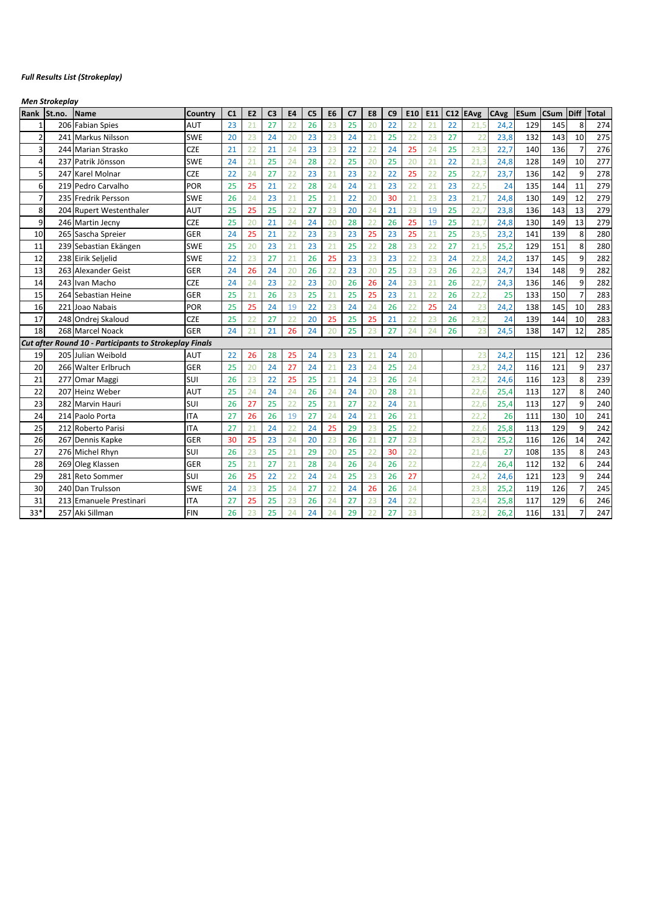#### *Full Results List (Strokeplay)*

*Men Strokeplay*

| Rank           | St.no. | Name                                                   | Country    | C <sub>1</sub> | E <sub>2</sub> | C <sub>3</sub> | <b>E4</b> | C <sub>5</sub> | E <sub>6</sub> | C <sub>7</sub> | E8 | C9 | E10             | E11 | C12 | <b>EAvg</b> | CAvg | <b>ESum</b> | <b>CSum</b> | Diff | <b>Total</b> |
|----------------|--------|--------------------------------------------------------|------------|----------------|----------------|----------------|-----------|----------------|----------------|----------------|----|----|-----------------|-----|-----|-------------|------|-------------|-------------|------|--------------|
|                | 206    | <b>Fabian Spies</b>                                    | AUT        | 23             | 21             | 27             | 22        | 26             | 23             | 25             | 20 | 22 | 22              | 21  | 22  | 21.5        | 24,2 | 129         | 145         | 8    | 274          |
| $\overline{2}$ | 241    | <b>Markus Nilsson</b>                                  | <b>SWE</b> | 20             | 23             | 24             | 20        | 23             | 23             | 24             | 21 | 25 | $\overline{22}$ | 23  | 27  | 22          | 23,8 | 132         | 143         | 10   | 275          |
| 3              | 244    | <b>Marian Strasko</b>                                  | <b>CZE</b> | 21             | 22             | 21             | 24        | 23             | 23             | 22             | 22 | 24 | 25              | 24  | 25  | 23,3        | 22,7 | 140         | 136         |      | 276          |
| $\overline{4}$ | 237    | Patrik Jönsson                                         | <b>SWE</b> | 24             | 21             | 25             | 24        | 28             | 22             | 25             | 20 | 25 | 20              | 21  | 22  | 21.3        | 24,8 | 128         | 149         | 10   | 277          |
| 5              | 247    | <b>Karel Molnar</b>                                    | <b>CZE</b> | 22             | 24             | 27             | 22        | 23             | 21             | 23             | 22 | 22 | 25              | 22  | 25  | 22.7        | 23,7 | 136         | 142         | 9    | 278          |
| 6              | 219    | Pedro Carvalho                                         | POR        | 25             | 25             | 21             | 22        | 28             | 24             | 24             | 21 | 23 | 22              | 21  | 23  | 22,5        | 24   | 135         | 144         | 11   | 279          |
| $\overline{7}$ |        | 235 Fredrik Persson                                    | <b>SWE</b> | 26             | 24             | 23             | 21        | 25             | 21             | 22             | 20 | 30 | 21              | 23  | 23  | 21,7        | 24,8 | 130         | 149         | 12   | 279          |
| 8              |        | 204 Rupert Westenthaler                                | AUT        | 25             | 25             | 25             | 22        | 27             | 23             | 20             | 24 | 21 | 23              | 19  | 25  | 22.7        | 23,8 | 136         | 143         | 13   | 279          |
| 9              |        | 246 Martin Jecny                                       | <b>CZE</b> | 25             | 20             | 21             | 24        | 24             | 20             | 28             | 22 | 26 | 25              | 19  | 25  | 21,7        | 24,8 | 130         | 149         | 13   | 279          |
| 10             |        | 265 Sascha Spreier                                     | GER        | 24             | 25             | 21             | 22        | 23             | 23             | 23             | 25 | 23 | 25              | 21  | 25  | 23,5        | 23,2 | 141         | 139         | 8    | 280          |
| 11             |        | 239 Sebastian Ekängen                                  | <b>SWE</b> | 25             | 20             | 23             | 21        | 23             | 21             | 25             | 22 | 28 | 23              | 22  | 27  | 21,5        | 25,2 | 129         | 151         | 8    | 280          |
| 12             |        | 238 Eirik Seljelid                                     | <b>SWE</b> | 22             | 23             | 27             | 21        | 26             | 25             | 23             | 23 | 23 | 22              | 23  | 24  | 22,8        | 24,2 | 137         | 145         | 9    | 282          |
| 13             |        | 263 Alexander Geist                                    | GER        | 24             | 26             | 24             | 20        | 26             | 22             | 23             | 20 | 25 | 23              | 23  | 26  | 22,3        | 24,7 | 134         | 148         | 9    | 282          |
| 14             |        | 243 Ivan Macho                                         | <b>CZE</b> | 24             | 24             | 23             | 22        | 23             | 20             | 26             | 26 | 24 | 23              | 21  | 26  | 22.7        | 24,3 | 136         | 146         | 9    | 282          |
| 15             | 264    | Sebastian Heine                                        | GER        | 25             | 21             | 26             | 23        | 25             | 21             | 25             | 25 | 23 | 21              | 22  | 26  | 22.2        | 25   | 133         | 150         |      | 283          |
| 16             | 221    | Joao Nabais                                            | POR        | 25             | 25             | 24             | 19        | 22             | 23             | 24             | 24 | 26 | 22              | 25  | 24  | 23          | 24,2 | 138         | 145         | 10   | 283          |
| 17             |        | 248 Ondrej Skaloud                                     | <b>CZE</b> | 25             | 22             | 27             | 22        | 20             | 25             | 25             | 25 | 21 | 22              | 23  | 26  | 23.2        | 24   | 139         | 144         | 10   | 283          |
| 18             |        | 268 Marcel Noack                                       | GER        | 24             | 21             | 21             | 26        | 24             | 20             | 25             | 23 | 27 | 24              | 24  | 26  | 23          | 24,5 | 138         | 147         | 12   | 285          |
|                |        | Cut after Round 10 - Participants to Strokeplay Finals |            |                |                |                |           |                |                |                |    |    |                 |     |     |             |      |             |             |      |              |
| 19             |        | 205 Julian Weibold                                     | AUT        | 22             | 26             | 28             | 25        | 24             | 23             | 23             | 21 | 24 | 20              |     |     | 23          | 24,2 | 115         | 121         | 12   | 236          |
| 20             |        | 266 Walter Erlbruch                                    | GER        | 25             | 20             | 24             | 27        | 24             | 21             | 23             | 24 | 25 | 24              |     |     | 23.2        | 24,2 | 116         | 121         | 9    | 237          |
| 21             | 277    | Omar Maggi                                             | SUI        | 26             | 23             | 22             | 25        | 25             | 21             | 24             | 23 | 26 | 24              |     |     | 23.2        | 24,6 | 116         | 123         | 8    | 239          |
| 22             | 207    | Heinz Weber                                            | AUT        | 25             | 24             | 24             | 24        | 26             | 24             | 24             | 20 | 28 | 21              |     |     | 22.6        | 25,4 | 113         | 127         | 8    | 240          |
| 23             | 282    | Marvin Hauri                                           | SUI        | 26             | 27             | 25             | 22        | 25             | 21             | 27             | 22 | 24 | 21              |     |     | 22,6        | 25,4 | 113         | 127         | 9    | 240          |
| 24             |        | 214 Paolo Porta                                        | <b>ITA</b> | 27             | 26             | 26             | 19        | 27             | 24             | 24             | 21 | 26 | $\overline{21}$ |     |     | 22,2        | 26   | 111         | 130         | 10   | 241          |
| 25             | 212    | Roberto Parisi                                         | <b>ITA</b> | 27             | 21             | 24             | 22        | 24             | 25             | 29             | 23 | 25 | 22              |     |     | 22,6        | 25,8 | 113         | 129         | 9    | 242          |
| 26             | 267    | Dennis Kapke                                           | GER        | 30             | 25             | 23             | 24        | 20             | 23             | 26             | 21 | 27 | 23              |     |     | 23,2        | 25,2 | 116         | 126         | 14   | 242          |
| 27             |        | 276 Michel Rhyn                                        | SUI        | 26             | 23             | 25             | 21        | 29             | 20             | 25             | 22 | 30 | 22              |     |     | 21.6        | 27   | 108         | 135         | 8    | 243          |
| 28             |        | 269 Oleg Klassen                                       | GER        | 25             | 21             | 27             | 21        | 28             | 24             | 26             | 24 | 26 | 22              |     |     | 22,4        | 26,4 | 112         | 132         | 6    | 244          |
| 29             |        | 281 Reto Sommer                                        | SUI        | 26             | 25             | 22             | 22        | 24             | 24             | 25             | 23 | 26 | 27              |     |     | 24.2        | 24,6 | 121         | 123         | 9    | 244          |
| 30             |        | 240 Dan Trulsson                                       | <b>SWE</b> | 24             | 23             | 25             | 24        | 27             | 22             | 24             | 26 | 26 | 24              |     |     | 23.8        | 25,2 | 119         | 126         |      | 245          |
| 31             | 213    | <b>Emanuele Prestinari</b>                             | <b>ITA</b> | 27             | 25             | 25             | 23        | 26             | 24             | 27             | 23 | 24 | 22              |     |     | 23.4        | 25,8 | 117         | 129         | 6    | 246          |
| $33*$          |        | 257 Aki Sillman                                        | <b>FIN</b> | 26             | 23             | 25             | 24        | 24             | 24             | 29             | 22 | 27 | 23              |     |     | 23.2        | 26,2 | 116         | 131         |      | 247          |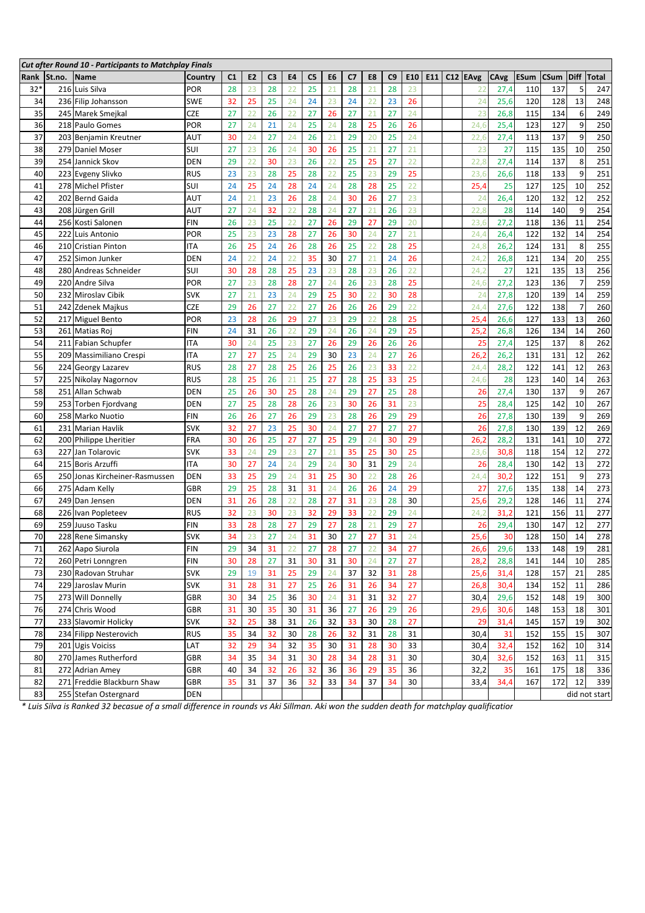|       |        | <b>Cut after Round 10 - Participants to Matchplay Finals</b> |            |                |                |                |    |                |                |    |    |    |     |                 |          |      |             |             |                |               |
|-------|--------|--------------------------------------------------------------|------------|----------------|----------------|----------------|----|----------------|----------------|----|----|----|-----|-----------------|----------|------|-------------|-------------|----------------|---------------|
| Rank  | St.no. | <b>Name</b>                                                  | Country    | C <sub>1</sub> | E <sub>2</sub> | C <sub>3</sub> | E4 | C <sub>5</sub> | E <sub>6</sub> | C7 | E8 | C9 | E10 | E <sub>11</sub> | C12 EAvg | CAvg | <b>ESum</b> | <b>CSum</b> | <b>Diff</b>    | Total         |
| $32*$ |        | 216 Luis Silva                                               | por        | 28             | 23             | 28             | 22 | 25             | 21             | 28 | 21 | 28 | 23  |                 | 22       | 27,4 | 110         | 137         | 5              | 247           |
| 34    |        | 236 Filip Johansson                                          | <b>SWE</b> | 32             | 25             | 25             | 24 | 24             | 23             | 24 | 22 | 23 | 26  |                 | 24       | 25,6 | 120         | 128         | 13             | 248           |
| 35    |        | 245 Marek Smejkal                                            | <b>CZE</b> | 27             | 22             | 26             | 22 | 27             | 26             | 27 | 21 | 27 | 24  |                 | 23       | 26,8 | 115         | 134         | 6              | 249           |
| 36    |        | 218 Paulo Gomes                                              | POR        | 27             | 24             | 21             | 24 | 25             | 24             | 28 | 25 | 26 | 26  |                 | 24,6     | 25,4 | 123         | 127         | 9              | 250           |
| 37    |        | 203 Benjamin Kreutner                                        | AUT        | 30             | 24             | 27             | 24 | 26             | 21             | 29 | 20 | 25 | 24  |                 | 22,6     | 27,4 | 113         | 137         | 9              | 250           |
| 38    |        | 279 Daniel Moser                                             | SUI        | 27             | 23             | 26             | 24 | 30             | 26             | 25 | 21 | 27 | 21  |                 | 23       | 27   | 115         | 135         | 10             | 250           |
| 39    |        | 254 Jannick Skov                                             | <b>DEN</b> | 29             | 22             | 30             | 23 | 26             | 22             | 25 | 25 | 27 | 22  |                 | 22,8     | 27,4 | 114         | 137         | 8              | 251           |
| 40    |        | 223 Evgeny Slivko                                            | <b>RUS</b> | 23             | 23             | 28             | 25 | 28             | 22             | 25 | 23 | 29 | 25  |                 | 23,6     | 26,6 | 118         | 133         | 9              | 251           |
| 41    |        | 278 Michel Pfister                                           | SUI        | 24             | 25             | 24             | 28 | 24             | 24             | 28 | 28 | 25 | 22  |                 | 25,4     | 25   | 127         | 125         | 10             | 252           |
| 42    |        | 202 Bernd Gaida                                              | AUT        | 24             | 21             | 23             | 26 | 28             | 24             | 30 | 26 | 27 | 23  |                 | 24       | 26,4 | 120         | 132         | 12             | 252           |
| 43    |        | 208 Jürgen Grill                                             | AUT        | 27             | 24             | 32             | 22 | 28             | 24             | 27 | 21 | 26 | 23  |                 | 22,8     | 28   | 114         | 140         | 9              | 254           |
| 44    |        | 256 Kosti Salonen                                            | FIN        | 26             | 23             | 25             | 22 | 27             | 26             | 29 | 27 | 29 | 20  |                 | 23,6     | 27,2 | 118         | 136         | 11             | 254           |
| 45    |        | 222 Luis Antonio                                             | por        | 25             | 23             | 23             | 28 | 27             | 26             | 30 | 24 | 27 | 21  |                 | 24.4     | 26,4 | 122         | 132         | 14             | 254           |
| 46    |        | 210 Cristian Pinton                                          | <b>ITA</b> | 26             | 25             | 24             | 26 | 28             | 26             | 25 | 22 | 28 | 25  |                 | 24,8     | 26,2 | 124         | 131         | 8              | 255           |
| 47    |        | 252 Simon Junker                                             | DEN        | 24             | 22             | 24             | 22 | 35             | 30             | 27 | 21 | 24 | 26  |                 | 24,2     | 26,8 | 121         | 134         | 20             | 255           |
| 48    |        | 280 Andreas Schneider                                        | SUI        | 30             | 28             | 28             | 25 | 23             | 23             | 28 | 23 | 26 | 22  |                 | 24,2     | 27   | 121         | 135         | 13             | 256           |
| 49    |        | 220 Andre Silva                                              | POR        | 27             | 23             | 28             | 28 | 27             | 24             | 26 | 23 | 28 | 25  |                 | 24,6     | 27,2 | 123         | 136         | 7              | 259           |
| 50    |        | 232 Miroslav Cibik                                           | <b>SVK</b> | 27             | 21             | 23             | 24 | 29             | 25             | 30 | 22 | 30 | 28  |                 | 24       | 27,8 | 120         | 139         | 14             | 259           |
| 51    |        | 242 Zdenek Majkus                                            | <b>CZE</b> | 29             | 26             | 27             | 22 | 27             | 26             | 26 | 26 | 29 | 22  |                 | 24.4     | 27,6 | 122         | 138         | $\overline{7}$ | 260           |
| 52    |        | 217 Miguel Bento                                             | POR        | 23             | 28             | 26             | 29 | 27             | 23             | 29 | 22 | 28 | 25  |                 | 25,4     | 26,6 | 127         | 133         | 13             | 260           |
| 53    |        | 261 Matias Roj                                               | FIN        | 24             | 31             | 26             | 22 | 29             | 24             | 26 | 24 | 29 | 25  |                 | 25,2     | 26,8 | 126         | 134         | 14             | 260           |
| 54    |        | 211 Fabian Schupfer                                          | ITA        | 30             | 24             | 25             | 23 | 27             | 26             | 29 | 26 | 26 | 26  |                 | 25       | 27,4 | 125         | 137         | 8              | 262           |
| 55    |        | 209 Massimiliano Crespi                                      | ITA        | 27             | 27             | 25             | 24 | 29             | 30             | 23 | 24 | 27 | 26  |                 | 26,2     | 26,2 | 131         | 131         | 12             | 262           |
| 56    |        | 224 Georgy Lazarev                                           | <b>RUS</b> | 28             | 27             | 28             | 25 | 26             | 25             | 26 | 23 | 33 | 22  |                 | 24,4     | 28,2 | 122         | 141         | 12             | 263           |
| 57    |        | 225 Nikolay Nagornov                                         | <b>RUS</b> | 28             | 25             | 26             | 21 | 25             | 27             | 28 | 25 | 33 | 25  |                 | 24,6     | 28   | 123         | 140         | 14             | 263           |
| 58    |        | 251 Allan Schwab                                             | <b>DEN</b> | 25             | 26             | 30             | 25 | 28             | 24             | 29 | 27 | 25 | 28  |                 | 26       | 27,4 | 130         | 137         | 9              | 267           |
| 59    |        | 253 Torben Fjordvang                                         | <b>DEN</b> | 27             | 25             | 28             | 28 | 26             | 23             | 30 | 26 | 31 | 23  |                 | 25       | 28,4 | 125         | 142         | 10             | 267           |
| 60    |        | 258 Marko Nuotio                                             | FIN        | 26             | 26             | 27             | 26 | 29             | 23             | 28 | 26 | 29 | 29  |                 | 26       | 27,8 | 130         | 139         | 9              | 269           |
| 61    |        | 231 Marian Havlik                                            | <b>SVK</b> | 32             | 27             | 23             | 25 | 30             | 24             | 27 | 27 | 27 | 27  |                 | 26       | 27,8 | 130         | 139         | 12             | 269           |
| 62    |        | 200 Philippe Lheritier                                       | FRA        | 30             | 26             | 25             | 27 | 27             | 25             | 29 | 24 | 30 | 29  |                 | 26,2     | 28,2 | 131         | 141         | 10             | 272           |
| 63    | 227    | Jan Tolarovic                                                | <b>SVK</b> | 33             | 24             | 29             | 23 | 27             | 21             | 35 | 25 | 30 | 25  |                 | 23,6     | 30,8 | 118         | 154         | 12             | 272           |
| 64    |        | 215 Boris Arzuffi                                            | ITA        | 30             | 27             | 24             | 24 | 29             | 24             | 30 | 31 | 29 | 24  |                 | 26       | 28,4 | 130         | 142         | 13             | 272           |
| 65    |        | 250 Jonas Kircheiner-Rasmussen                               | <b>DEN</b> | 33             | 25             | 29             | 24 | 31             | 25             | 30 | 22 | 28 | 26  |                 | 24,4     | 30,2 | 122         | 151         | 9              | 273           |
| 66    |        | 275 Adam Kelly                                               | GBR        | 29             | 25             | 28             | 31 | 31             | 24             | 26 | 26 | 24 | 29  |                 | 27       | 27,6 | 135         | 138         | 14             | 273           |
| 67    |        | 249 Dan Jensen                                               | <b>DEN</b> | 31             | 26             | 28             | 22 | 28             | 27             | 31 | 23 | 28 | 30  |                 | 25,6     | 29,2 | 128         | 146         | 11             | 274           |
| 68    |        | 226 Ivan Popleteev                                           | <b>RUS</b> | 32             | 23             | 30             | 23 | 32             | 29             | 33 | 22 | 29 | 24  |                 | 24,2     | 31,2 | 121         | 156         | 11             | 277           |
| 69    |        | 259 Juuso Tasku                                              | FIN        | 33             | 28             | 28             | 27 | 29             | 27             | 28 | 21 | 29 | 27  |                 | 26       | 29,4 | 130         | 147         | 12             | 277           |
| 70    |        | 228 Rene Simansky                                            | <b>SVK</b> | 34             | 23             | 27             | 24 | 31             | 30             | 27 | 27 | 31 | 24  |                 | 25,6     | 30   | 128         | 150         | 14             | 278           |
| 71    |        | 262 Aapo Siurola                                             | <b>FIN</b> | 29             | 34             | 31             | 22 | 27             | 28             | 27 | 22 | 34 | 27  |                 | 26,6     | 29,6 | 133         | 148         | 19             | 281           |
| 72    |        | 260 Petri Lonngren                                           | FIN        | 30             | 28             | 27             | 31 | 30             | 31             | 30 | 24 | 27 | 27  |                 | 28,2     | 28,8 | 141         | 144         | 10             | 285           |
| 73    |        | 230 Radovan Struhar                                          | <b>SVK</b> | 29             | 19             | 31             | 25 | 29             | 24             | 37 | 32 | 31 | 28  |                 | 25,6     | 31,4 | 128         | 157         | 21             | 285           |
| 74    |        | 229 Jaroslav Murin                                           | <b>SVK</b> | 31             | 28             | 31             | 27 | 25             | 26             | 31 | 26 | 34 | 27  |                 | 26,8     | 30,4 | 134         | 152         | 11             | 286           |
| 75    |        | 273 Will Donnelly                                            | <b>GBR</b> | 30             | 34             | 25             | 36 | 30             | 24             | 31 | 31 | 32 | 27  |                 | 30,4     | 29,6 | 152         | 148         | 19             | 300           |
| 76    |        | 274 Chris Wood                                               | <b>GBR</b> | 31             | 30             | 35             | 30 | 31             | 36             | 27 | 26 | 29 | 26  |                 | 29,6     | 30,6 | 148         | 153         | 18             | 301           |
| 77    |        | 233 Slavomir Holicky                                         | <b>SVK</b> | 32             | 25             | 38             | 31 | 26             | 32             | 33 | 30 | 28 | 27  |                 | 29       | 31,4 | 145         | 157         | 19             | 302           |
| 78    |        | 234 Filipp Nesterovich                                       | <b>RUS</b> | 35             | 34             | 32             | 30 | 28             | 26             | 32 | 31 | 28 | 31  |                 | 30,4     | 31   | 152         | 155         | 15             | 307           |
| 79    |        | 201 Ugis Voiciss                                             | LAT        | 32             | 29             | 34             | 32 | 35             | 30             | 31 | 28 | 30 | 33  |                 | 30,4     | 32,4 | 152         | 162         | 10             | 314           |
| 80    |        | 270 James Rutherford                                         | <b>GBR</b> | 34             | 35             | 34             | 31 | 30             | 28             | 34 | 28 | 31 | 30  |                 | 30,4     | 32,6 | 152         | 163         | 11             | 315           |
| 81    |        | 272 Adrian Amey                                              | <b>GBR</b> | 40             | 34             | 32             | 26 | 32             | 36             | 36 | 29 | 35 | 36  |                 | 32,2     | 35   | 161         | 175         | 18             | 336           |
| 82    |        | 271 Freddie Blackburn Shaw                                   | GBR        | 35             | 31             | 37             | 36 | 32             | 33             | 34 | 37 | 34 | 30  |                 | 33,4     | 34,4 | 167         | 172         | 12             | 339           |
| 83    |        | 255 Stefan Ostergnard                                        | <b>DEN</b> |                |                |                |    |                |                |    |    |    |     |                 |          |      |             |             |                | did not start |

*\* Luis Silva is Ranked 32 becasue of a small difference in rounds vs Aki Sillman. Aki won the sudden death for matchplay qualification*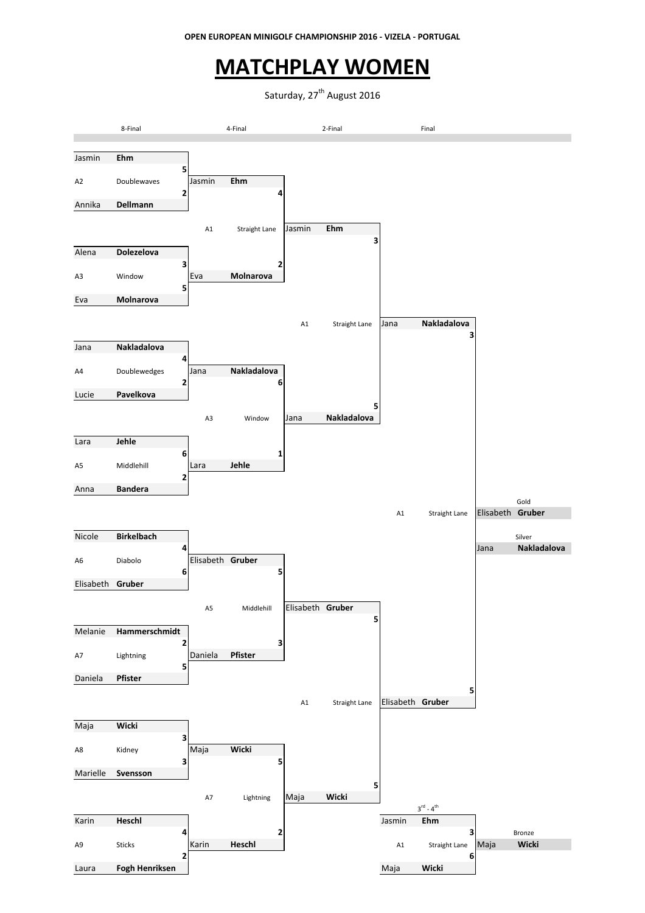### **MATCHPLAY WOMEN**

Saturday, 27<sup>th</sup> August 2016